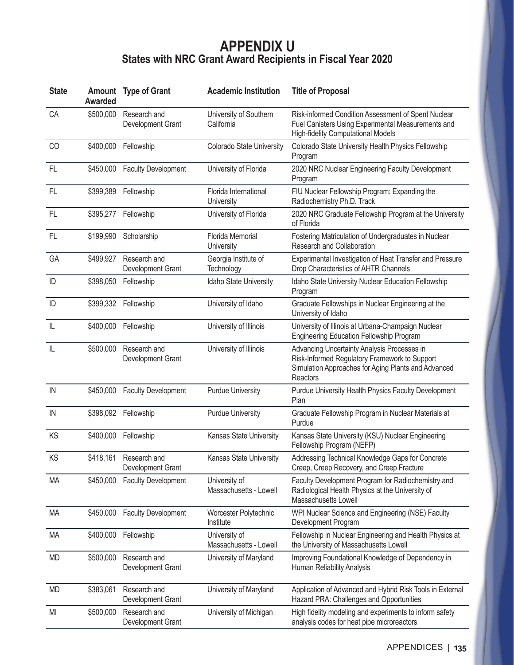## **APPENDIX U States with NRC Grant Award Recipients in Fiscal Year 2020**

| <b>State</b> | <b>Awarded</b> | <b>Amount</b> Type of Grant                 | <b>Academic Institution</b>             | <b>Title of Proposal</b>                                                                                                                                        |
|--------------|----------------|---------------------------------------------|-----------------------------------------|-----------------------------------------------------------------------------------------------------------------------------------------------------------------|
| CA           | \$500,000      | Research and<br>Development Grant           | University of Southern<br>California    | Risk-informed Condition Assessment of Spent Nuclear<br>Fuel Canisters Using Experimental Measurements and<br><b>High-fidelity Computational Models</b>          |
| CO           | \$400,000      | Fellowship                                  | Colorado State University               | Colorado State University Health Physics Fellowship<br>Program                                                                                                  |
| FL           | \$450,000      | <b>Faculty Development</b>                  | University of Florida                   | 2020 NRC Nuclear Engineering Faculty Development<br>Program                                                                                                     |
| FL           | \$399,389      | Fellowship                                  | Florida International<br>University     | FIU Nuclear Fellowship Program: Expanding the<br>Radiochemistry Ph.D. Track                                                                                     |
| FL           | \$395,277      | Fellowship                                  | University of Florida                   | 2020 NRC Graduate Fellowship Program at the University<br>of Florida                                                                                            |
| <b>FL</b>    | \$199,990      | Scholarship                                 | Florida Memorial<br>University          | Fostering Matriculation of Undergraduates in Nuclear<br>Research and Collaboration                                                                              |
| GA           | \$499,927      | Research and<br>Development Grant           | Georgia Institute of<br>Technology      | Experimental Investigation of Heat Transfer and Pressure<br>Drop Characteristics of AHTR Channels                                                               |
| ID           | \$398,050      | Fellowship                                  | Idaho State University                  | Idaho State University Nuclear Education Fellowship<br>Program                                                                                                  |
| ID           | \$399,332      | Fellowship                                  | University of Idaho                     | Graduate Fellowships in Nuclear Engineering at the<br>University of Idaho                                                                                       |
| L            | \$400,000      | Fellowship                                  | University of Illinois                  | University of Illinois at Urbana-Champaign Nuclear<br>Engineering Education Fellowship Program                                                                  |
| IL           | \$500,000      | Research and<br>Development Grant           | University of Illinois                  | Advancing Uncertainty Analysis Processes in<br>Risk-Informed Regulatory Framework to Support<br>Simulation Approaches for Aging Plants and Advanced<br>Reactors |
| IN           | \$450,000      | <b>Faculty Development</b>                  | <b>Purdue University</b>                | Purdue University Health Physics Faculty Development<br>Plan                                                                                                    |
| IN           | \$398,092      | Fellowship                                  | <b>Purdue University</b>                | Graduate Fellowship Program in Nuclear Materials at<br>Purdue                                                                                                   |
| KS           | \$400,000      | Fellowship                                  | Kansas State University                 | Kansas State University (KSU) Nuclear Engineering<br>Fellowship Program (NEFP)                                                                                  |
| KS           |                | \$418,161 Research and<br>Development Grant | Kansas State University                 | Addressing Technical Knowledge Gaps for Concrete<br>Creep, Creep Recovery, and Creep Fracture                                                                   |
| MA           | \$450,000      | <b>Faculty Development</b>                  | University of<br>Massachusetts - Lowell | Faculty Development Program for Radiochemistry and<br>Radiological Health Physics at the University of<br>Massachusetts Lowell                                  |
| MA           | \$450,000      | <b>Faculty Development</b>                  | Worcester Polytechnic<br>Institute      | WPI Nuclear Science and Engineering (NSE) Faculty<br>Development Program                                                                                        |
| MA           | \$400,000      | Fellowship                                  | University of<br>Massachusetts - Lowell | Fellowship in Nuclear Engineering and Health Physics at<br>the University of Massachusetts Lowell                                                               |
| <b>MD</b>    | \$500,000      | Research and<br>Development Grant           | University of Maryland                  | Improving Foundational Knowledge of Dependency in<br>Human Reliability Analysis                                                                                 |
| <b>MD</b>    | \$383,061      | Research and<br>Development Grant           | University of Maryland                  | Application of Advanced and Hybrid Risk Tools in External<br>Hazard PRA: Challenges and Opportunities                                                           |
| MI           | \$500,000      | Research and<br>Development Grant           | University of Michigan                  | High fidelity modeling and experiments to inform safety<br>analysis codes for heat pipe microreactors                                                           |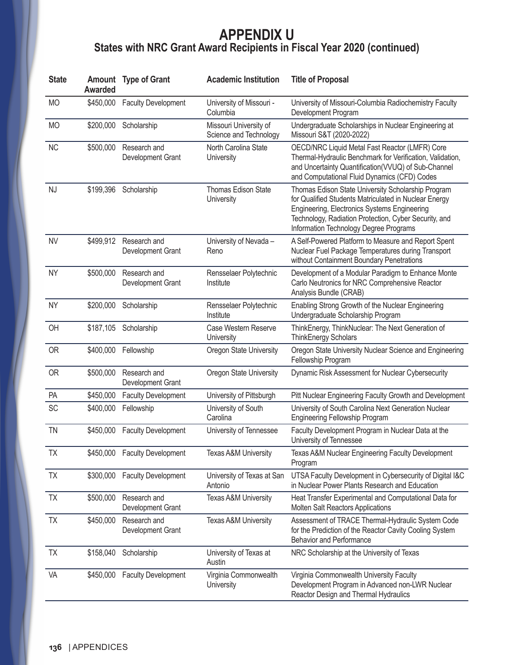## **APPENDIX U States with NRC Grant Award Recipients in Fiscal Year 2020 (continued)**

| <b>State</b> | <b>Awarded</b> | <b>Amount</b> Type of Grant       | <b>Academic Institution</b>                      | <b>Title of Proposal</b>                                                                                                                                                                                                                                       |
|--------------|----------------|-----------------------------------|--------------------------------------------------|----------------------------------------------------------------------------------------------------------------------------------------------------------------------------------------------------------------------------------------------------------------|
| <b>MO</b>    | \$450,000      | <b>Faculty Development</b>        | University of Missouri -<br>Columbia             | University of Missouri-Columbia Radiochemistry Faculty<br>Development Program                                                                                                                                                                                  |
| <b>MO</b>    | \$200,000      | Scholarship                       | Missouri University of<br>Science and Technology | Undergraduate Scholarships in Nuclear Engineering at<br>Missouri S&T (2020-2022)                                                                                                                                                                               |
| <b>NC</b>    | \$500,000      | Research and<br>Development Grant | North Carolina State<br>University               | OECD/NRC Liquid Metal Fast Reactor (LMFR) Core<br>Thermal-Hydraulic Benchmark for Verification, Validation,<br>and Uncertainty Quantification(VVUQ) of Sub-Channel<br>and Computational Fluid Dynamics (CFD) Codes                                             |
| NJ           | \$199,396      | Scholarship                       | Thomas Edison State<br>University                | Thomas Edison State University Scholarship Program<br>for Qualified Students Matriculated in Nuclear Energy<br>Engineering, Electronics Systems Engineering<br>Technology, Radiation Protection, Cyber Security, and<br>Information Technology Degree Programs |
| <b>NV</b>    | \$499,912      | Research and<br>Development Grant | University of Nevada -<br>Reno                   | A Self-Powered Platform to Measure and Report Spent<br>Nuclear Fuel Package Temperatures during Transport<br>without Containment Boundary Penetrations                                                                                                         |
| <b>NY</b>    | \$500,000      | Research and<br>Development Grant | Rensselaer Polytechnic<br>Institute              | Development of a Modular Paradigm to Enhance Monte<br>Carlo Neutronics for NRC Comprehensive Reactor<br>Analysis Bundle (CRAB)                                                                                                                                 |
| <b>NY</b>    | \$200,000      | Scholarship                       | Rensselaer Polytechnic<br>Institute              | Enabling Strong Growth of the Nuclear Engineering<br>Undergraduate Scholarship Program                                                                                                                                                                         |
| OH           | \$187,105      | Scholarship                       | Case Western Reserve<br>University               | ThinkEnergy, ThinkNuclear: The Next Generation of<br><b>ThinkEnergy Scholars</b>                                                                                                                                                                               |
| <b>OR</b>    | \$400,000      | Fellowship                        | Oregon State University                          | Oregon State University Nuclear Science and Engineering<br>Fellowship Program                                                                                                                                                                                  |
| <b>OR</b>    | \$500,000      | Research and<br>Development Grant | Oregon State University                          | Dynamic Risk Assessment for Nuclear Cybersecurity                                                                                                                                                                                                              |
| <b>PA</b>    | \$450,000      | <b>Faculty Development</b>        | University of Pittsburgh                         | Pitt Nuclear Engineering Faculty Growth and Development                                                                                                                                                                                                        |
| SC           | \$400,000      | Fellowship                        | University of South<br>Carolina                  | University of South Carolina Next Generation Nuclear<br>Engineering Fellowship Program                                                                                                                                                                         |
| <b>TN</b>    | \$450,000      | <b>Faculty Development</b>        | University of Tennessee                          | Faculty Development Program in Nuclear Data at the<br>University of Tennessee                                                                                                                                                                                  |
| TX           |                | \$450,000 Faculty Development     | Texas A&M University                             | Texas A&M Nuclear Engineering Faculty Development<br>Program                                                                                                                                                                                                   |
| <b>TX</b>    | \$300,000      | <b>Faculty Development</b>        | University of Texas at San<br>Antonio            | UTSA Faculty Development in Cybersecurity of Digital I&C<br>in Nuclear Power Plants Research and Education                                                                                                                                                     |
| <b>TX</b>    | \$500,000      | Research and<br>Development Grant | Texas A&M University                             | Heat Transfer Experimental and Computational Data for<br>Molten Salt Reactors Applications                                                                                                                                                                     |
| TX           | \$450,000      | Research and<br>Development Grant | Texas A&M University                             | Assessment of TRACE Thermal-Hydraulic System Code<br>for the Prediction of the Reactor Cavity Cooling System<br><b>Behavior and Performance</b>                                                                                                                |
| <b>TX</b>    | \$158,040      | Scholarship                       | University of Texas at<br>Austin                 | NRC Scholarship at the University of Texas                                                                                                                                                                                                                     |
| VA           | \$450,000      | <b>Faculty Development</b>        | Virginia Commonwealth<br>University              | Virginia Commonwealth University Faculty<br>Development Program in Advanced non-LWR Nuclear<br>Reactor Design and Thermal Hydraulics                                                                                                                           |